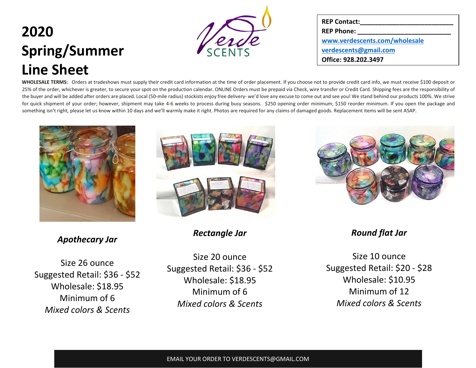

| <b>REP Contact:</b>           |
|-------------------------------|
| <b>REP Phone:</b>             |
| www.verdescents.com/wholesale |
| verdescents@gmail.com         |
| Office: 928.202.3497          |

**WHOLESALE TERMS:** Orders at tradeshows must supply their credit card information at the time of order placement. If you choose not to provide credit card info, we must receive \$100 deposit or 25% of the order, whichever is greater, to secure your spot on the production calendar. ONLINE Orders must be prepaid via Check, wire transfer or Credit Card. Shipping fees are the responsibility of the buyer and will be added after orders are placed. Local (50-mile radius) stockists enjoy free delivery- we'd love any excuse to come out and see you! We stand behind our products 100%. We strive for quick shipment of your order; however, shipment may take 4-6 weeks to process during busy seasons. \$250 opening order minimum; \$150 reorder minimum. If you open the package and something isn't right, please let us know within 10 days and we'll warmly make it right. Photos are required for any claims of damaged goods. Replacement items will be sent ASAP.



*Apothecary Jar*

Size 26 ounce Suggested Retail: \$36 - \$52 Wholesale: \$18.95 Minimum of 6 *Mixed colors & Scents*



*Rectangle Jar*

Size 20 ounce Suggested Retail: \$36 - \$52 Wholesale: \$18.95 Minimum of 6 *Mixed colors & Scents*



*Round flat Jar*

Size 10 ounce Suggested Retail: \$20 - \$28 Wholesale: \$10.95 Minimum of 12 *Mixed colors & Scents*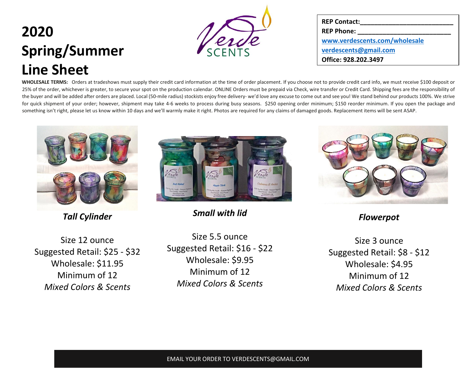

| <b>REP Contact:</b>           |
|-------------------------------|
| <b>REP Phone:</b>             |
| www.verdescents.com/wholesale |
| verdescents@gmail.com         |
| Office: 928.202.3497          |

**WHOLESALE TERMS:** Orders at tradeshows must supply their credit card information at the time of order placement. If you choose not to provide credit card info, we must receive \$100 deposit or 25% of the order, whichever is greater, to secure your spot on the production calendar. ONLINE Orders must be prepaid via Check, wire transfer or Credit Card. Shipping fees are the responsibility of the buyer and will be added after orders are placed. Local (50-mile radius) stockists enjoy free delivery- we'd love any excuse to come out and see you! We stand behind our products 100%. We strive for quick shipment of your order; however, shipment may take 4-6 weeks to process during busy seasons. \$250 opening order minimum; \$150 reorder minimum. If you open the package and something isn't right, please let us know within 10 days and we'll warmly make it right. Photos are required for any claims of damaged goods. Replacement items will be sent ASAP.



*Tall Cylinder*

Size 12 ounce Suggested Retail: \$25 - \$32 Wholesale: \$11.95 Minimum of 12 *Mixed Colors & Scents*



*Small with lid*

Size 5.5 ounce Suggested Retail: \$16 - \$22 Wholesale: \$9.95 Minimum of 12 *Mixed Colors & Scents*



*Flowerpot*

Size 3 ounce Suggested Retail: \$8 - \$12 Wholesale: \$4.95 Minimum of 12 *Mixed Colors & Scents*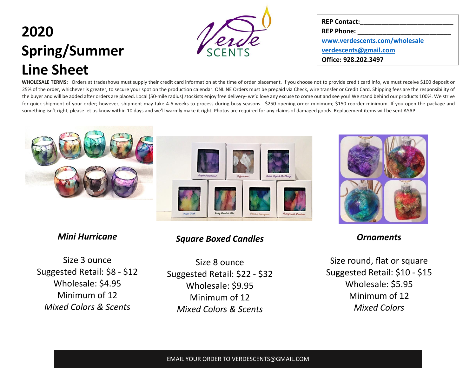

| <b>REP Contact:</b>           |
|-------------------------------|
| <b>REP Phone:</b>             |
| www.verdescents.com/wholesale |
| verdescents@gmail.com         |
| Office: 928.202.3497          |

**WHOLESALE TERMS:** Orders at tradeshows must supply their credit card information at the time of order placement. If you choose not to provide credit card info, we must receive \$100 deposit or 25% of the order, whichever is greater, to secure your spot on the production calendar. ONLINE Orders must be prepaid via Check, wire transfer or Credit Card. Shipping fees are the responsibility of the buyer and will be added after orders are placed. Local (50-mile radius) stockists enjoy free delivery- we'd love any excuse to come out and see you! We stand behind our products 100%. We strive for quick shipment of your order; however, shipment may take 4-6 weeks to process during busy seasons. \$250 opening order minimum; \$150 reorder minimum. If you open the package and something isn't right, please let us know within 10 days and we'll warmly make it right. Photos are required for any claims of damaged goods. Replacement items will be sent ASAP.



#### *Mini Hurricane*

Size 3 ounce Suggested Retail: \$8 - \$12 Wholesale: \$4.95 Minimum of 12 *Mixed Colors & Scents*

### *Square Boxed Candles*

Size 8 ounce Suggested Retail: \$22 - \$32 Wholesale: \$9.95 Minimum of 12 *Mixed Colors & Scents*



*Ornaments*

Size round, flat or square Suggested Retail: \$10 - \$15 Wholesale: \$5.95 Minimum of 12 *Mixed Colors*

#### EMAIL YOUR ORDER TO VERDESCENTS@GMAIL.COM